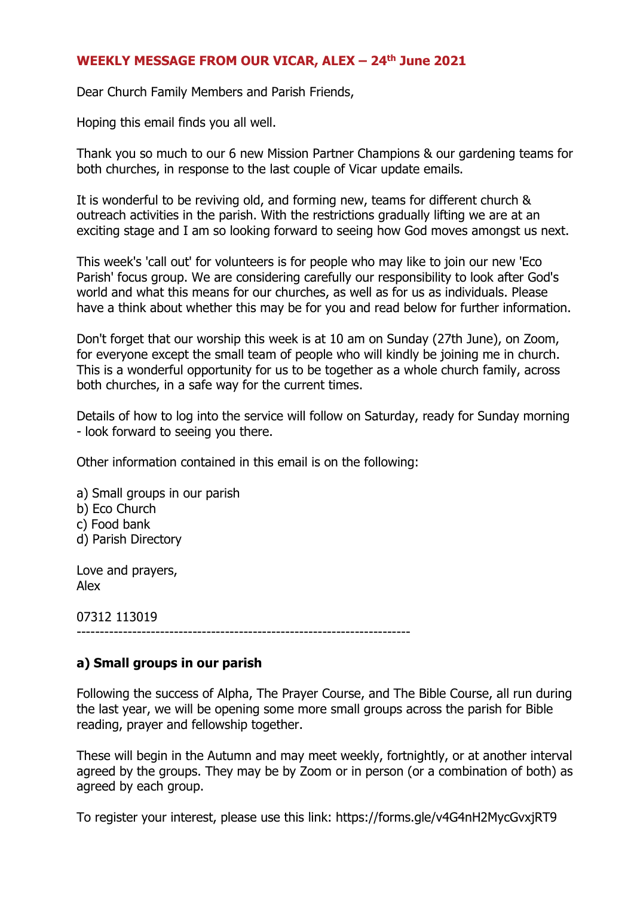### **WEEKLY MESSAGE FROM OUR VICAR, ALEX – 24th June 2021**

Dear Church Family Members and Parish Friends,

Hoping this email finds you all well.

Thank you so much to our 6 new Mission Partner Champions & our gardening teams for both churches, in response to the last couple of Vicar update emails.

It is wonderful to be reviving old, and forming new, teams for different church & outreach activities in the parish. With the restrictions gradually lifting we are at an exciting stage and I am so looking forward to seeing how God moves amongst us next.

This week's 'call out' for volunteers is for people who may like to join our new 'Eco Parish' focus group. We are considering carefully our responsibility to look after God's world and what this means for our churches, as well as for us as individuals. Please have a think about whether this may be for you and read below for further information.

Don't forget that our worship this week is at 10 am on Sunday (27th June), on Zoom, for everyone except the small team of people who will kindly be joining me in church. This is a wonderful opportunity for us to be together as a whole church family, across both churches, in a safe way for the current times.

Details of how to log into the service will follow on Saturday, ready for Sunday morning - look forward to seeing you there.

Other information contained in this email is on the following:

- a) Small groups in our parish b) Eco Church c) Food bank
- d) Parish Directory

Love and prayers, Alex

07312 113019

------------------------------------------------------------------------

# **a) Small groups in our parish**

Following the success of Alpha, The Prayer Course, and The Bible Course, all run during the last year, we will be opening some more small groups across the parish for Bible reading, prayer and fellowship together.

These will begin in the Autumn and may meet weekly, fortnightly, or at another interval agreed by the groups. They may be by Zoom or in person (or a combination of both) as agreed by each group.

To register your interest, please use this link: https://forms.gle/v4G4nH2MycGvxjRT9